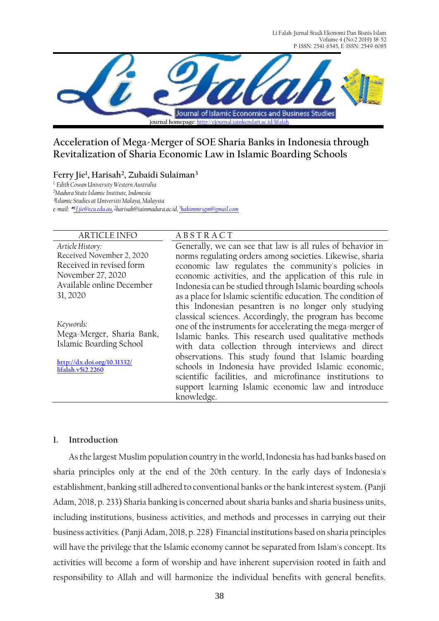Li Falah-Jurnal Studi Ekonomi Dan Bisnis Islam Volume 4 (No.2 2019) 38-52 P-ISSN: 2541-6545, E-ISSN: 2549-6085



# **Acceleration of Mega-Merger of SOE Sharia Banks in Indonesia through Revitalization of Sharia Economic Law in Islamic Boarding Schools**

**Ferry Jie<sup>1</sup> , Harisah<sup>2</sup> , Zubaidi Sulaiman<sup>3</sup>** *1, Edith Cowan University Western Australia <sup>2</sup>Madura State Islamic Institute, Indonesia* **3** *Islamic Studies at Universiti Malaya, Malaysia*

*e-mail:* **\* 1** *[f.jie@ecu.edu.au,](mailto:1%20f.jie@ecu.edu.au)  2 [harisah@iainmadura.ac.id,](mailto:2majeedity@gmail.com) 3 [hakimmrsgm@gmail.com](mailto:3srimaulida@ulm.ac.id)*

*Article History:* Received November 2, 2020 Received in revised form November 27, 2020 Available online December 31, 2020

*Keywords:*  Mega-Merger, Sharia Bank, Islamic Boarding School

**[http://dx.doi.org/10.31332/](http://dx.doi.org/10.31332/lifalah.v5i2.2260) [lifalah.v5i2.2260](http://dx.doi.org/10.31332/lifalah.v5i2.2260)**

# ARTICLE INFO A B S T R A C T

Generally, we can see that law is all rules of behavior in norms regulating orders among societies. Likewise, sharia economic law regulates the community's policies in economic activities, and the application of this rule in Indonesia can be studied through Islamic boarding schools as a place for Islamic scientific education. The condition of this Indonesian pesantren is no longer only studying classical sciences. Accordingly, the program has become one of the instruments for accelerating the mega-merger of Islamic banks. This research used qualitative methods with data collection through interviews and direct observations. This study found that Islamic boarding schools in Indonesia have provided Islamic economic, scientific facilities, and microfinance institutions to support learning Islamic economic law and introduce knowledge.

## **1. Introduction**

As the largest Muslim population country in the world, Indonesia has had banks based on sharia principles only at the end of the 20th century. In the early days of Indonesia's establishment, banking still adhered to conventional banks or the bank interest system. (Panji Adam, 2018, p. 233) Sharia banking is concerned about sharia banks and sharia business units, including institutions, business activities, and methods and processes in carrying out their business activities.(Panji Adam, 2018, p. 228) Financial institutions based on sharia principles will have the privilege that the Islamic economy cannot be separated from Islam's concept. Its activities will become a form of worship and have inherent supervision rooted in faith and responsibility to Allah and will harmonize the individual benefits with general benefits.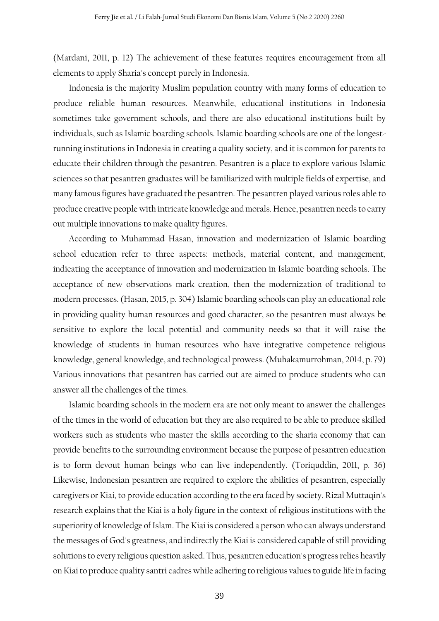(Mardani, 2011, p. 12) The achievement of these features requires encouragement from all elements to apply Sharia's concept purely in Indonesia.

Indonesia is the majority Muslim population country with many forms of education to produce reliable human resources. Meanwhile, educational institutions in Indonesia sometimes take government schools, and there are also educational institutions built by individuals, such as Islamic boarding schools. Islamic boarding schools are one of the longestrunning institutions in Indonesia in creating a quality society, and it is common for parents to educate their children through the pesantren. Pesantren is a place to explore various Islamic sciences so that pesantren graduates will be familiarized with multiple fields of expertise, and many famous figures have graduated the pesantren. The pesantren played various roles able to produce creative people with intricate knowledge and morals. Hence, pesantren needs to carry out multiple innovations to make quality figures.

According to Muhammad Hasan, innovation and modernization of Islamic boarding school education refer to three aspects: methods, material content, and management, indicating the acceptance of innovation and modernization in Islamic boarding schools. The acceptance of new observations mark creation, then the modernization of traditional to modern processes.(Hasan, 2015, p. 304) Islamic boarding schools can play an educational role in providing quality human resources and good character, so the pesantren must always be sensitive to explore the local potential and community needs so that it will raise the knowledge of students in human resources who have integrative competence religious knowledge, general knowledge, and technological prowess. (Muhakamurrohman, 2014, p. 79) Various innovations that pesantren has carried out are aimed to produce students who can answer all the challenges of the times.

Islamic boarding schools in the modern era are not only meant to answer the challenges of the times in the world of education but they are also required to be able to produce skilled workers such as students who master the skills according to the sharia economy that can provide benefits to the surrounding environment because the purpose of pesantren education is to form devout human beings who can live independently. (Toriquddin, 2011, p. 36) Likewise, Indonesian pesantren are required to explore the abilities of pesantren, especially caregivers or Kiai, to provide education according to the era faced by society. Rizal Muttaqin's research explains that the Kiai is a holy figure in the context of religious institutions with the superiority of knowledge of Islam. The Kiai is considered a person who can always understand the messages of God's greatness, and indirectly the Kiai is considered capable of still providing solutions to every religious question asked. Thus, pesantren education's progress relies heavily on Kiai to produce quality santri cadres while adhering to religious values to guide life in facing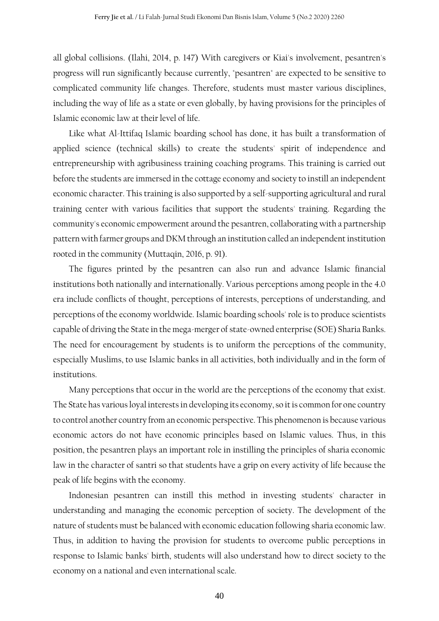all global collisions. (Ilahi, 2014, p. 147) With caregivers or Kiai's involvement, pesantren's progress will run significantly because currently, "pesantren" are expected to be sensitive to complicated community life changes. Therefore, students must master various disciplines, including the way of life as a state or even globally, by having provisions for the principles of Islamic economic law at their level of life.

Like what Al-Ittifaq Islamic boarding school has done, it has built a transformation of applied science (technical skills) to create the students' spirit of independence and entrepreneurship with agribusiness training coaching programs. This training is carried out before the students are immersed in the cottage economy and society to instill an independent economic character. This training is also supported by a self-supporting agricultural and rural training center with various facilities that support the students' training. Regarding the community's economic empowerment around the pesantren, collaborating with a partnership pattern with farmer groups and DKM through an institution called an independent institution rooted in the community (Muttaqin, 2016, p. 91).

The figures printed by the pesantren can also run and advance Islamic financial institutions both nationally and internationally. Various perceptions among people in the 4.0 era include conflicts of thought, perceptions of interests, perceptions of understanding, and perceptions of the economy worldwide. Islamic boarding schools' role is to produce scientists capable of driving the State in the mega-merger of state-owned enterprise (SOE) Sharia Banks. The need for encouragement by students is to uniform the perceptions of the community, especially Muslims, to use Islamic banks in all activities, both individually and in the form of institutions.

Many perceptions that occur in the world are the perceptions of the economy that exist. The State has various loyal interests in developing its economy, so it is common for one country to control another country from an economic perspective. This phenomenon is because various economic actors do not have economic principles based on Islamic values. Thus, in this position, the pesantren plays an important role in instilling the principles of sharia economic law in the character of santri so that students have a grip on every activity of life because the peak of life begins with the economy.

Indonesian pesantren can instill this method in investing students' character in understanding and managing the economic perception of society. The development of the nature of students must be balanced with economic education following sharia economic law. Thus, in addition to having the provision for students to overcome public perceptions in response to Islamic banks' birth, students will also understand how to direct society to the economy on a national and even international scale.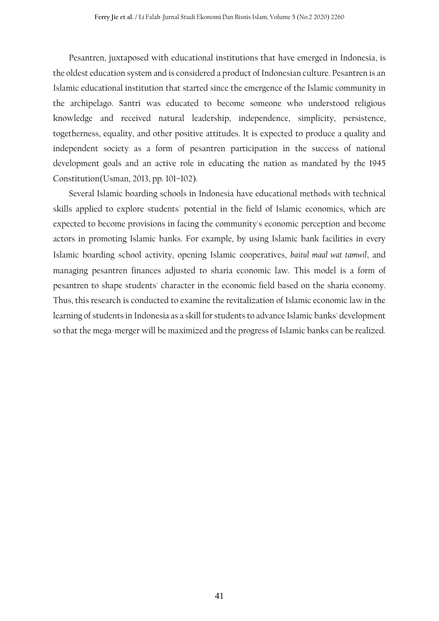Pesantren, juxtaposed with educational institutions that have emerged in Indonesia, is the oldest education system and is considered a product of Indonesian culture. Pesantren is an Islamic educational institution that started since the emergence of the Islamic community in the archipelago. Santri was educated to become someone who understood religious knowledge and received natural leadership, independence, simplicity, persistence, togetherness, equality, and other positive attitudes. It is expected to produce a quality and independent society as a form of pesantren participation in the success of national development goals and an active role in educating the nation as mandated by the 1945 Constitution(Usman, 2013, pp. 101–102).

Several Islamic boarding schools in Indonesia have educational methods with technical skills applied to explore students' potential in the field of Islamic economics, which are expected to become provisions in facing the community's economic perception and become actors in promoting Islamic banks. For example, by using Islamic bank facilities in every Islamic boarding school activity, opening Islamic cooperatives, *baitul maal wat tamwil*, and managing pesantren finances adjusted to sharia economic law. This model is a form of pesantren to shape students' character in the economic field based on the sharia economy. Thus, this research is conducted to examine the revitalization of Islamic economic law in the learning of students in Indonesia as a skill for students to advance Islamic banks' development so that the mega-merger will be maximized and the progress of Islamic banks can be realized.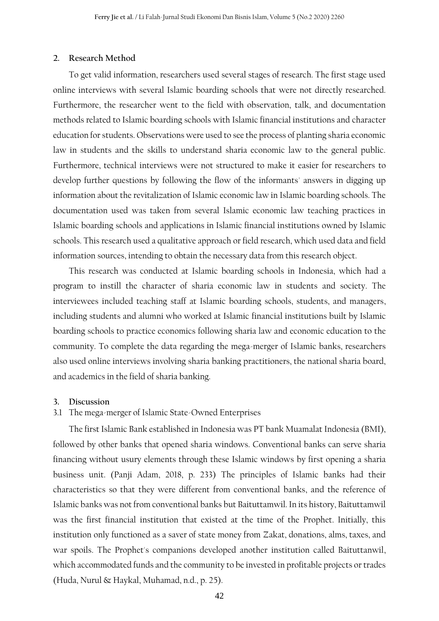### **2. Research Method**

To get valid information, researchers used several stages of research. The first stage used online interviews with several Islamic boarding schools that were not directly researched. Furthermore, the researcher went to the field with observation, talk, and documentation methods related to Islamic boarding schools with Islamic financial institutions and character education for students. Observations were used to see the process of planting sharia economic law in students and the skills to understand sharia economic law to the general public. Furthermore, technical interviews were not structured to make it easier for researchers to develop further questions by following the flow of the informants' answers in digging up information about the revitalization of Islamic economic law in Islamic boarding schools. The documentation used was taken from several Islamic economic law teaching practices in Islamic boarding schools and applications in Islamic financial institutions owned by Islamic schools. This research used a qualitative approach or field research, which used data and field information sources, intending to obtain the necessary data from this research object.

This research was conducted at Islamic boarding schools in Indonesia, which had a program to instill the character of sharia economic law in students and society. The interviewees included teaching staff at Islamic boarding schools, students, and managers, including students and alumni who worked at Islamic financial institutions built by Islamic boarding schools to practice economics following sharia law and economic education to the community. To complete the data regarding the mega-merger of Islamic banks, researchers also used online interviews involving sharia banking practitioners, the national sharia board, and academics in the field of sharia banking.

## **3. Discussion**

# 3.1 The mega-merger of Islamic State-Owned Enterprises

The first Islamic Bank established in Indonesia was PT bank Muamalat Indonesia (BMI), followed by other banks that opened sharia windows. Conventional banks can serve sharia financing without usury elements through these Islamic windows by first opening a sharia business unit. (Panji Adam, 2018, p. 233) The principles of Islamic banks had their characteristics so that they were different from conventional banks, and the reference of Islamic banks was not from conventional banks but Baituttamwil. In its history, Baituttamwil was the first financial institution that existed at the time of the Prophet. Initially, this institution only functioned as a saver of state money from Zakat, donations, alms, taxes, and war spoils. The Prophet's companions developed another institution called Baituttanwil, which accommodated funds and the community to be invested in profitable projects or trades (Huda, Nurul & Haykal, Muhamad, n.d., p. 25).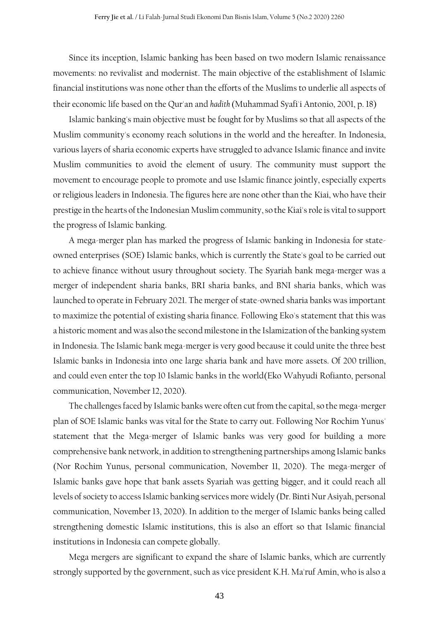Since its inception, Islamic banking has been based on two modern Islamic renaissance movements: no revivalist and modernist. The main objective of the establishment of Islamic financial institutions was none other than the efforts of the Muslims to underlie all aspects of their economic life based on the Qur'an and *hadith* (Muhammad Syafi'i Antonio, 2001, p. 18)

Islamic banking's main objective must be fought for by Muslims so that all aspects of the Muslim community's economy reach solutions in the world and the hereafter. In Indonesia, various layers of sharia economic experts have struggled to advance Islamic finance and invite Muslim communities to avoid the element of usury. The community must support the movement to encourage people to promote and use Islamic finance jointly, especially experts or religious leaders in Indonesia. The figures here are none other than the Kiai, who have their prestige in the hearts of the Indonesian Muslim community,so the Kiai's role is vital to support the progress of Islamic banking.

A mega-merger plan has marked the progress of Islamic banking in Indonesia for stateowned enterprises (SOE) Islamic banks, which is currently the State's goal to be carried out to achieve finance without usury throughout society. The Syariah bank mega-merger was a merger of independent sharia banks, BRI sharia banks, and BNI sharia banks, which was launched to operate in February 2021. The merger of state-owned sharia banks was important to maximize the potential of existing sharia finance. Following Eko's statement that this was a historic moment and was also the second milestone in the Islamization of the banking system in Indonesia. The Islamic bank mega-merger is very good because it could unite the three best Islamic banks in Indonesia into one large sharia bank and have more assets. Of 200 trillion, and could even enter the top 10 Islamic banks in the world(Eko Wahyudi Rofianto, personal communication, November 12, 2020).

The challenges faced by Islamic banks were often cut from the capital, so the mega-merger plan of SOE Islamic banks was vital for the State to carry out. Following Nor Rochim Yunus' statement that the Mega-merger of Islamic banks was very good for building a more comprehensive bank network, in addition to strengthening partnerships among Islamic banks (Nor Rochim Yunus, personal communication, November 11, 2020). The mega-merger of Islamic banks gave hope that bank assets Syariah was getting bigger, and it could reach all levels of society to access Islamic banking services more widely (Dr. Binti Nur Asiyah, personal communication, November 13, 2020). In addition to the merger of Islamic banks being called strengthening domestic Islamic institutions, this is also an effort so that Islamic financial institutions in Indonesia can compete globally.

Mega mergers are significant to expand the share of Islamic banks, which are currently strongly supported by the government, such as vice president K.H. Ma'ruf Amin, who is also a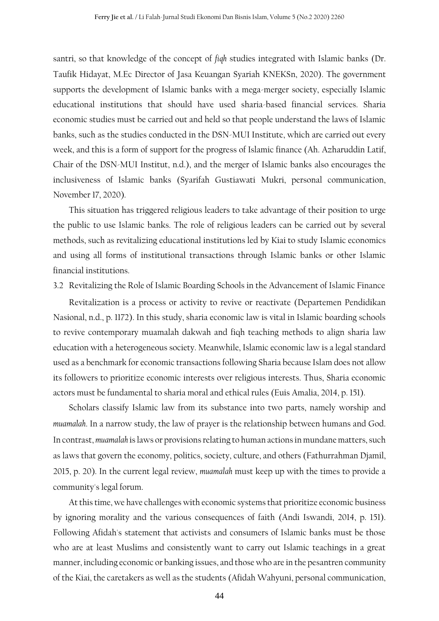santri, so that knowledge of the concept of *fiqh* studies integrated with Islamic banks (Dr. Taufik Hidayat, M.Ec Director of Jasa Keuangan Syariah KNEKSn, 2020). The government supports the development of Islamic banks with a mega-merger society, especially Islamic educational institutions that should have used sharia-based financial services. Sharia economic studies must be carried out and held so that people understand the laws of Islamic banks, such as the studies conducted in the DSN-MUI Institute, which are carried out every week, and this is a form of support for the progress of Islamic finance (Ah. Azharuddin Latif, Chair of the DSN-MUI Institut, n.d.), and the merger of Islamic banks also encourages the inclusiveness of Islamic banks (Syarifah Gustiawati Mukri, personal communication, November 17, 2020).

This situation has triggered religious leaders to take advantage of their position to urge the public to use Islamic banks. The role of religious leaders can be carried out by several methods, such as revitalizing educational institutions led by Kiai to study Islamic economics and using all forms of institutional transactions through Islamic banks or other Islamic financial institutions.

3.2 Revitalizing the Role of Islamic Boarding Schools in the Advancement of Islamic Finance

Revitalization is a process or activity to revive or reactivate (Departemen Pendidikan Nasional, n.d., p. 1172). In this study, sharia economic law is vital in Islamic boarding schools to revive contemporary muamalah dakwah and fiqh teaching methods to align sharia law education with a heterogeneous society. Meanwhile, Islamic economic law is a legal standard used as a benchmark for economic transactions following Sharia because Islam does not allow its followers to prioritize economic interests over religious interests. Thus, Sharia economic actors must be fundamental to sharia moral and ethical rules (Euis Amalia, 2014, p. 151).

Scholars classify Islamic law from its substance into two parts, namely worship and *muamalah*. In a narrow study, the law of prayer is the relationship between humans and God. In contrast, *muamalah* is laws or provisions relating to human actions in mundane matters, such as laws that govern the economy, politics, society, culture, and others (Fathurrahman Djamil, 2015, p. 20). In the current legal review, *muamalah* must keep up with the times to provide a community's legal forum.

At this time, we have challenges with economic systems that prioritize economic business by ignoring morality and the various consequences of faith (Andi Iswandi, 2014, p. 151). Following Afidah's statement that activists and consumers of Islamic banks must be those who are at least Muslims and consistently want to carry out Islamic teachings in a great manner, including economic or banking issues, and those who are in the pesantren community of the Kiai, the caretakers as well as the students (Afidah Wahyuni, personal communication,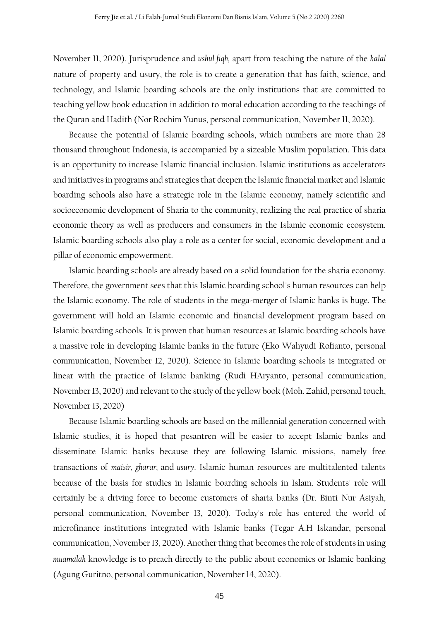November 11, 2020). Jurisprudence and *ushul fiqh,* apart from teaching the nature of the *halal* nature of property and usury, the role is to create a generation that has faith, science, and technology, and Islamic boarding schools are the only institutions that are committed to teaching yellow book education in addition to moral education according to the teachings of the Quran and Hadith (Nor Rochim Yunus, personal communication, November 11, 2020).

Because the potential of Islamic boarding schools, which numbers are more than 28 thousand throughout Indonesia, is accompanied by a sizeable Muslim population. This data is an opportunity to increase Islamic financial inclusion. Islamic institutions as accelerators and initiatives in programs and strategies that deepen the Islamic financial market and Islamic boarding schools also have a strategic role in the Islamic economy, namely scientific and socioeconomic development of Sharia to the community, realizing the real practice of sharia economic theory as well as producers and consumers in the Islamic economic ecosystem. Islamic boarding schools also play a role as a center for social, economic development and a pillar of economic empowerment.

Islamic boarding schools are already based on a solid foundation for the sharia economy. Therefore, the government sees that this Islamic boarding school's human resources can help the Islamic economy. The role of students in the mega-merger of Islamic banks is huge. The government will hold an Islamic economic and financial development program based on Islamic boarding schools. It is proven that human resources at Islamic boarding schools have a massive role in developing Islamic banks in the future (Eko Wahyudi Rofianto, personal communication, November 12, 2020). Science in Islamic boarding schools is integrated or linear with the practice of Islamic banking (Rudi HAryanto, personal communication, November 13, 2020) and relevant to the study of the yellow book (Moh. Zahid, personal touch, November 13, 2020)

Because Islamic boarding schools are based on the millennial generation concerned with Islamic studies, it is hoped that pesantren will be easier to accept Islamic banks and disseminate Islamic banks because they are following Islamic missions, namely free transactions of *maisir, gharar,* and *usury*. Islamic human resources are multitalented talents because of the basis for studies in Islamic boarding schools in Islam. Students' role will certainly be a driving force to become customers of sharia banks (Dr. Binti Nur Asiyah, personal communication, November 13, 2020). Today's role has entered the world of microfinance institutions integrated with Islamic banks (Tegar A.H Iskandar, personal communication, November 13, 2020). Another thing that becomes the role of students in using *muamalah* knowledge is to preach directly to the public about economics or Islamic banking (Agung Guritno, personal communication, November 14, 2020).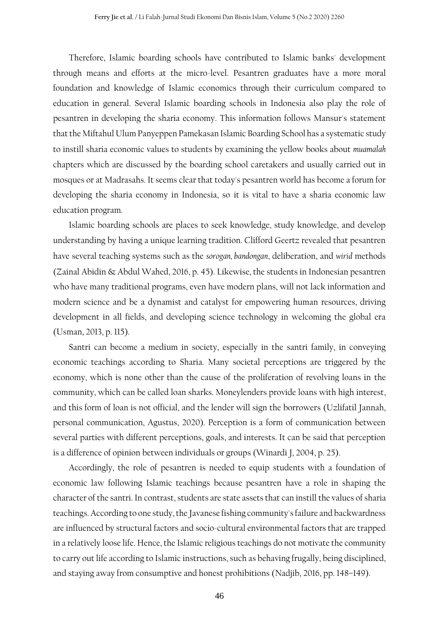Therefore, Islamic boarding schools have contributed to Islamic banks' development through means and efforts at the micro-level. Pesantren graduates have a more moral foundation and knowledge of Islamic economics through their curriculum compared to education in general. Several Islamic boarding schools in Indonesia also play the role of pesantren in developing the sharia economy. This information follows Mansur's statement that the Miftahul Ulum Panyeppen Pamekasan Islamic Boarding School has a systematic study to instill sharia economic values to students by examining the yellow books about *muamalah* chapters which are discussed by the boarding school caretakers and usually carried out in mosques or at Madrasahs. It seems clear that today's pesantren world has become a forum for developing the sharia economy in Indonesia, so it is vital to have a sharia economic law education program.

Islamic boarding schools are places to seek knowledge, study knowledge, and develop understanding by having a unique learning tradition. Clifford Geertz revealed that pesantren have several teaching systems such as the *sorogan, bandongan*, deliberation, and *wirid* methods (Zainal Abidin & Abdul Wahed, 2016, p. 45). Likewise, the students in Indonesian pesantren who have many traditional programs, even have modern plans, will not lack information and modern science and be a dynamist and catalyst for empowering human resources, driving development in all fields, and developing science technology in welcoming the global era (Usman, 2013, p. 115).

Santri can become a medium in society, especially in the santri family, in conveying economic teachings according to Sharia. Many societal perceptions are triggered by the economy, which is none other than the cause of the proliferation of revolving loans in the community, which can be called loan sharks. Moneylenders provide loans with high interest, and this form of loan is not official, and the lender will sign the borrowers (Uzlifatil Jannah, personal communication, Agustus, 2020). Perception is a form of communication between several parties with different perceptions, goals, and interests. It can be said that perception is a difference of opinion between individuals or groups (Winardi J, 2004, p. 25).

Accordingly, the role of pesantren is needed to equip students with a foundation of economic law following Islamic teachings because pesantren have a role in shaping the character of the santri. In contrast, students are state assets that can instill the values of sharia teachings. According to one study, the Javanese fishing community's failure and backwardness are influenced by structural factors and socio-cultural environmental factors that are trapped in a relatively loose life. Hence, the Islamic religious teachings do not motivate the community to carry out life according to Islamic instructions, such as behaving frugally, being disciplined, and staying away from consumptive and honest prohibitions (Nadjib, 2016, pp. 148–149).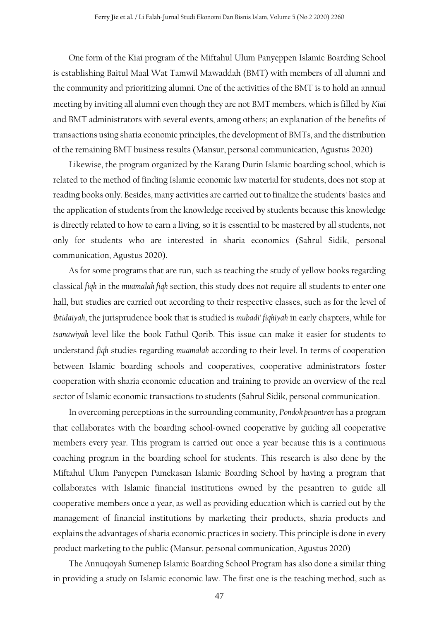One form of the Kiai program of the Miftahul Ulum Panyeppen Islamic Boarding School is establishing Baitul Maal Wat Tamwil Mawaddah (BMT) with members of all alumni and the community and prioritizing alumni. One of the activities of the BMT is to hold an annual meeting by inviting all alumni even though they are not BMT members, which is filled by *Kiai* and BMT administrators with several events, among others; an explanation of the benefits of transactions using sharia economic principles, the development of BMTs, and the distribution of the remaining BMT business results (Mansur, personal communication, Agustus 2020)

Likewise, the program organized by the Karang Durin Islamic boarding school, which is related to the method of finding Islamic economic law material for students, does not stop at reading books only. Besides, many activities are carried out to finalize the students' basics and the application of students from the knowledge received by students because this knowledge is directly related to how to earn a living, so it is essential to be mastered by all students, not only for students who are interested in sharia economics (Sahrul Sidik, personal communication, Agustus 2020).

As for some programs that are run, such as teaching the study of yellow books regarding classical *fiqh* in the *muamalah fiqh* section, this study does not require all students to enter one hall, but studies are carried out according to their respective classes, such as for the level of *ibtidaiyah*, the jurisprudence book that is studied is *mubadi' fiqhiyah* in early chapters, while for *tsanawiyah* level like the book Fathul Qorib. This issue can make it easier for students to understand *fiqh* studies regarding *muamalah* according to their level. In terms of cooperation between Islamic boarding schools and cooperatives, cooperative administrators foster cooperation with sharia economic education and training to provide an overview of the real sector of Islamic economic transactions to students (Sahrul Sidik, personal communication.

In overcoming perceptions in the surrounding community, *Pondok pesantren* has a program that collaborates with the boarding school-owned cooperative by guiding all cooperative members every year. This program is carried out once a year because this is a continuous coaching program in the boarding school for students. This research is also done by the Miftahul Ulum Panyepen Pamekasan Islamic Boarding School by having a program that collaborates with Islamic financial institutions owned by the pesantren to guide all cooperative members once a year, as well as providing education which is carried out by the management of financial institutions by marketing their products, sharia products and explains the advantages of sharia economic practices in society. This principle is done in every product marketing to the public (Mansur, personal communication, Agustus 2020)

The Annuqoyah Sumenep Islamic Boarding School Program has also done a similar thing in providing a study on Islamic economic law. The first one is the teaching method, such as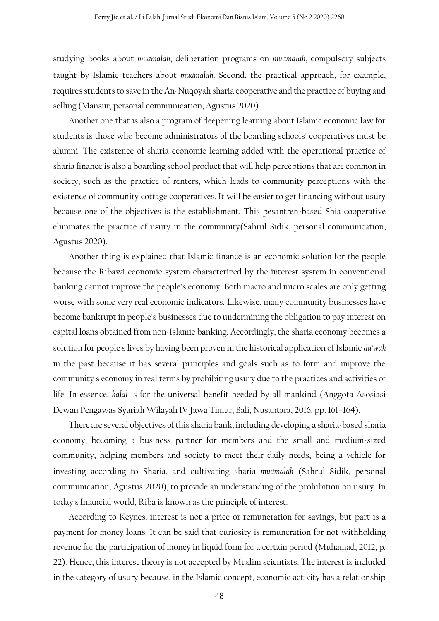studying books about *muamalah*, deliberation programs on *muamalah*, compulsory subjects taught by Islamic teachers about *muamalah*. Second, the practical approach, for example, requires students to save in the An-Nuqoyah sharia cooperative and the practice of buying and selling (Mansur, personal communication, Agustus 2020).

Another one that is also a program of deepening learning about Islamic economic law for students is those who become administrators of the boarding schools' cooperatives must be alumni. The existence of sharia economic learning added with the operational practice of sharia finance is also a boarding school product that will help perceptions that are common in society, such as the practice of renters, which leads to community perceptions with the existence of community cottage cooperatives. It will be easier to get financing without usury because one of the objectives is the establishment. This pesantren-based Shia cooperative eliminates the practice of usury in the community(Sahrul Sidik, personal communication, Agustus 2020).

Another thing is explained that Islamic finance is an economic solution for the people because the Ribawi economic system characterized by the interest system in conventional banking cannot improve the people's economy. Both macro and micro scales are only getting worse with some very real economic indicators. Likewise, many community businesses have become bankrupt in people's businesses due to undermining the obligation to pay interest on capital loans obtained from non-Islamic banking. Accordingly, the sharia economy becomes a solution for people's lives by having been proven in the historical application of Islamic *da'wah* in the past because it has several principles and goals such as to form and improve the community's economy in real terms by prohibiting usury due to the practices and activities of life. In essence, *halal* is for the universal benefit needed by all mankind (Anggota Asosiasi Dewan Pengawas Syariah Wilayah IV Jawa Timur, Bali, Nusantara, 2016, pp. 161–164).

There are several objectives of this sharia bank, including developing a sharia-based sharia economy, becoming a business partner for members and the small and medium-sized community, helping members and society to meet their daily needs, being a vehicle for investing according to Sharia, and cultivating sharia *muamalah* (Sahrul Sidik, personal communication, Agustus 2020), to provide an understanding of the prohibition on usury. In today's financial world, Riba is known as the principle of interest.

According to Keynes, interest is not a price or remuneration for savings, but part is a payment for money loans. It can be said that curiosity is remuneration for not withholding revenue for the participation of money in liquid form for a certain period (Muhamad, 2012, p. 22). Hence, this interest theory is not accepted by Muslim scientists. The interest is included in the category of usury because, in the Islamic concept, economic activity has a relationship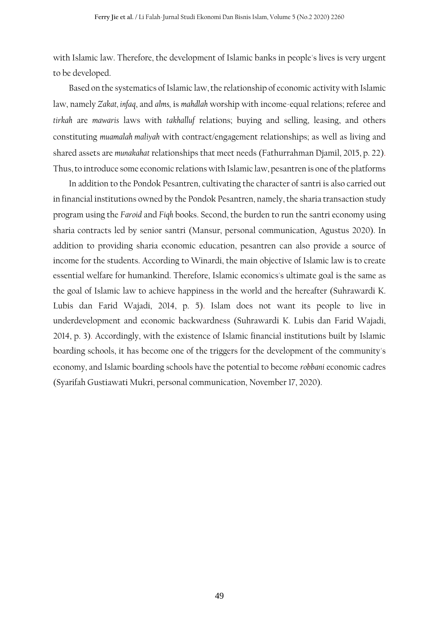with Islamic law. Therefore, the development of Islamic banks in people's lives is very urgent to be developed.

Based on the systematics of Islamic law, the relationship of economic activity with Islamic law, namely *Zakat, infaq*, and *alms,* is *mahdlah* worship with income-equal relations; referee and *tirkah* are *mawaris* laws with *takhalluf* relations; buying and selling, leasing, and others constituting *muamalah maliyah* with contract/engagement relationships; as well as living and shared assets are *munakahat* relationships that meet needs (Fathurrahman Djamil, 2015, p. 22). Thus, to introduce some economic relations with Islamic law, pesantren is one of the platforms

In addition to the Pondok Pesantren, cultivating the character of santri is also carried out in financial institutions owned by the Pondok Pesantren, namely, the sharia transaction study program using the *Faroid* and *Fiqh* books. Second, the burden to run the santri economy using sharia contracts led by senior santri (Mansur, personal communication, Agustus 2020). In addition to providing sharia economic education, pesantren can also provide a source of income for the students. According to Winardi, the main objective of Islamic law is to create essential welfare for humankind. Therefore, Islamic economics's ultimate goal is the same as the goal of Islamic law to achieve happiness in the world and the hereafter (Suhrawardi K. Lubis dan Farid Wajadi, 2014, p. 5). Islam does not want its people to live in underdevelopment and economic backwardness (Suhrawardi K. Lubis dan Farid Wajadi, 2014, p. 3). Accordingly, with the existence of Islamic financial institutions built by Islamic boarding schools, it has become one of the triggers for the development of the community's economy, and Islamic boarding schools have the potential to become *robbani* economic cadres (Syarifah Gustiawati Mukri, personal communication, November 17, 2020).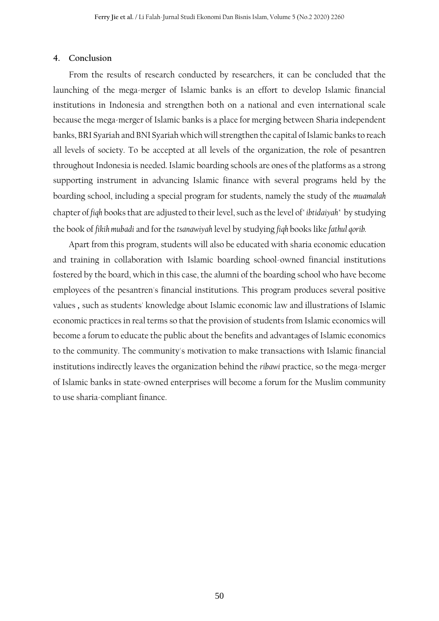#### **4. Conclusion**

From the results of research conducted by researchers, it can be concluded that the launching of the mega-merger of Islamic banks is an effort to develop Islamic financial institutions in Indonesia and strengthen both on a national and even international scale because the mega-merger of Islamic banks is a place for merging between Sharia independent banks, BRI Syariah and BNI Syariah which will strengthen the capital of Islamic banks to reach all levels of society. To be accepted at all levels of the organization, the role of pesantren throughout Indonesia is needed. Islamic boarding schools are ones of the platforms as a strong supporting instrument in advancing Islamic finance with several programs held by the boarding school, including a special program for students, namely the study of the *muamalah* chapter of *fiqh* books that are adjusted to their level, such as the level of"*ibtidaiyah"* by studying the book of *fikih mubadi* and for the *tsanawiyah* level by studying *fiqh* books like *fathul qorib.*

Apart from this program, students will also be educated with sharia economic education and training in collaboration with Islamic boarding school-owned financial institutions fostered by the board, which in this case, the alumni of the boarding school who have become employees of the pesantren's financial institutions. This program produces several positive values , such as students' knowledge about Islamic economic law and illustrations of Islamic economic practices in real terms so that the provision of students from Islamic economics will become a forum to educate the public about the benefits and advantages of Islamic economics to the community. The community's motivation to make transactions with Islamic financial institutions indirectly leaves the organization behind the *ribawi* practice, so the mega-merger of Islamic banks in state-owned enterprises will become a forum for the Muslim community to use sharia-compliant finance.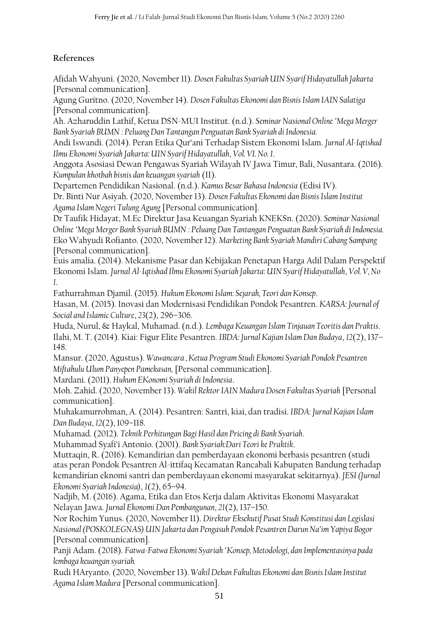# **References**

Afidah Wahyuni. (2020, November 11). *Dosen Fakultas Syariah UIN Syarif Hidayatullah Jakarta* [Personal communication].

Agung Guritno. (2020, November 14). *Dosen Fakultas Ekonomi dan Bisnis Islam IAIN Salatiga* [Personal communication].

Ah. Azharuddin Lathif, Ketua DSN-MUI Institut. (n.d.). *Seminar Nasional Online "Mega Merger Bank Syariah BUMN : Peluang Dan Tantangan Penguatan Bank Syariah di Indonesia.*

Andi Iswandi. (2014). Peran Etika Qur'ani Terhadap Sistem Ekonomi Islam. *Jurnal Al-Iqtishad Ilmu Ekonomi Syariah Jakarta: UIN Syarif Hidayatullah*, *Vol. VI. No. 1*.

Anggota Asosiasi Dewan Pengawas Syariah Wilayah IV Jawa Timur, Bali, Nusantara. (2016). *Kumpulan khotbah bisnis dan keuangan syariah* (II).

Departemen Pendidikan Nasional. (n.d.). *Kamus Besar Bahasa Indonesia* (Edisi IV).

Dr. Binti Nur Asiyah. (2020, November 13). *Dosen Fakultas Ekonomi dan Bisnis Islam Institut Agama Islam Negeri Tulung Agung* [Personal communication].

Dr Taufik Hidayat, M.Ec Direktur Jasa Keuangan Syariah KNEKSn. (2020). *Seminar Nasional Online "Mega Merger Bank Syariah BUMN : Peluang Dan Tantangan Penguatan Bank Syariah di Indonesia.* Eko Wahyudi Rofianto. (2020, November 12). *Marketing Bank Syariah Mandiri Cabang Sampang* [Personal communication].

Euis amalia. (2014). Mekanisme Pasar dan Kebijakan Penetapan Harga Adil Dalam Perspektif Ekonomi Islam. *Jurnal Al-Iqtishad Ilmu Ekonomi Syariah Jakarta: UIN Syarif Hidayatullah*, *Vol. V, No 1*.

Fathurrahman Djamil. (2015). *Hukum Ekonomi Islam: Sejarah, Teori dan Konsep*.

Hasan, M. (2015). Inovasi dan Modernisasi Pendidikan Pondok Pesantren. *KARSA: Journal of Social and Islamic Culture*, *23*(2), 296–306.

Huda, Nurul, & Haykal, Muhamad. (n.d.). *Lembaga Keuangan Islam Tinjauan Teoritis dan Praktis*. Ilahi, M. T. (2014). Kiai: Figur Elite Pesantren. *IBDA: Jurnal Kajian Islam Dan Budaya*, *12*(2), 137– 148.

Mansur. (2020, Agustus). *Wawancara , Ketua Program Studi Ekonomi Syariah Pondok Pesantren Miftahulu Ulum Panyepen Pamekasan,* [Personal communication].

Mardani. (2011). *Hukum EKonomi Syariah di Indonesia*.

Moh. Zahid. (2020, November 13). *Wakil Rektor IAIN Madura Dosen Fakultas Syariah* [Personal communication].

Muhakamurrohman, A. (2014). Pesantren: Santri, kiai, dan tradisi. *IBDA: Jurnal Kajian Islam Dan Budaya*, *12*(2), 109–118.

Muhamad. (2012). *Teknik Perhitungan Bagi Hasil dan Pricing di Bank Syariah*.

Muhammad Syafi'i Antonio. (2001). *Bank Syariah:Dari Teori ke Praktik*.

Muttaqin, R. (2016). Kemandirian dan pemberdayaan ekonomi berbasis pesantren (studi atas peran Pondok Pesantren Al-ittifaq Kecamatan Rancabali Kabupaten Bandung terhadap kemandirian eknomi santri dan pemberdayaan ekonomi masyarakat sekitarnya). *JESI (Jurnal Ekonomi Syariah Indonesia)*, *1*(2), 65–94.

Nadjib, M. (2016). Agama, Etika dan Etos Kerja dalam Aktivitas Ekonomi Masyarakat Nelayan Jawa. *Jurnal Ekonomi Dan Pembangunan*, *21*(2), 137–150.

Nor Rochim Yunus. (2020, November 11). *Direktur Eksekutif Pusat Studi Konstitusi dan Legislasi Nasional (POSKOLEGNAS) UIN Jakarta dan Pengasuh Pondok Pesantren Darun Na'im Yapiya Bogor* [Personal communication].

Panji Adam. (2018). *Fatwa-Fatwa Ekonomi Syariah "Konsep, Metodologi, dan Implementasinya pada lembaga keuangan syariah.*

Rudi HAryanto. (2020, November 13). *Wakil Dekan Fakultas Ekonomi dan Bisnis Islam Institut Agama Islam Madura* [Personal communication].